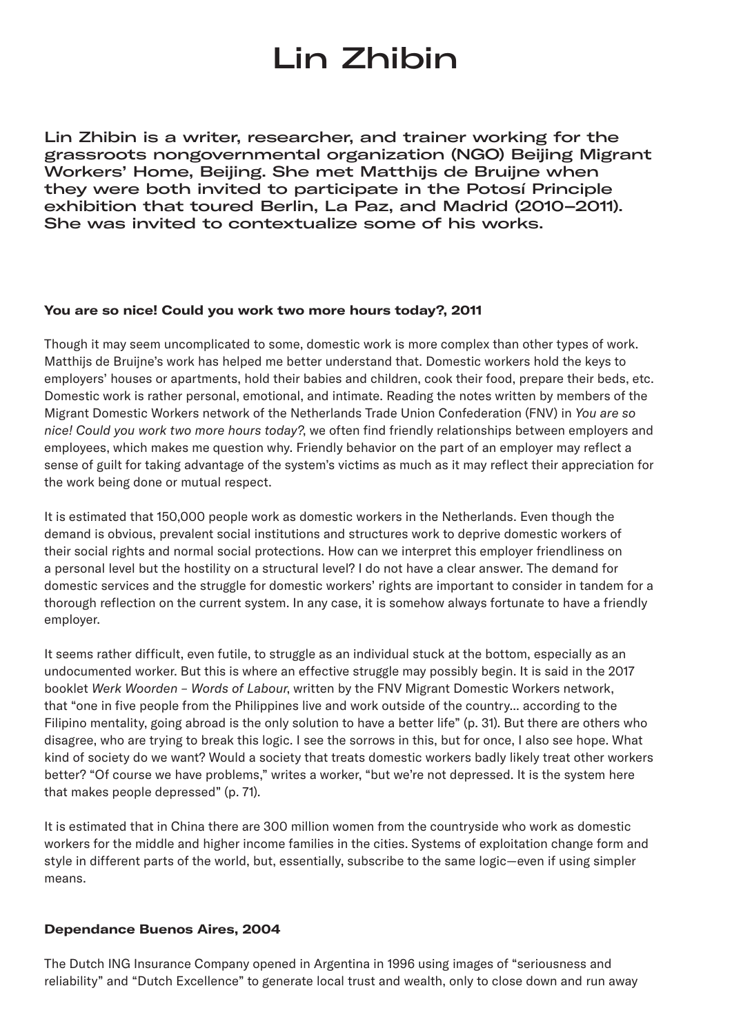## Lin Zhibin

Lin Zhibin is a writer, researcher, and trainer working for the grassroots nongovernmental organization (NGO) Beijing Migrant Workers' Home, Beijing. She met Matthijs de Bruijne when they were both invited to participate in the Potosí Principle exhibition that toured Berlin, La Paz, and Madrid (2010–2011). She was invited to contextualize some of his works.

## **You are so nice! Could you work two more hours today?, 2011**

Though it may seem uncomplicated to some, domestic work is more complex than other types of work. Matthijs de Bruijne's work has helped me better understand that. Domestic workers hold the keys to employers' houses or apartments, hold their babies and children, cook their food, prepare their beds, etc. Domestic work is rather personal, emotional, and intimate. Reading the notes written by members of the Migrant Domestic Workers network of the Netherlands Trade Union Confederation (FNV) in *You are so nice! Could you work two more hours today?*, we often find friendly relationships between employers and employees, which makes me question why. Friendly behavior on the part of an employer may reflect a sense of guilt for taking advantage of the system's victims as much as it may reflect their appreciation for the work being done or mutual respect.

It is estimated that 150,000 people work as domestic workers in the Netherlands. Even though the demand is obvious, prevalent social institutions and structures work to deprive domestic workers of their social rights and normal social protections. How can we interpret this employer friendliness on a personal level but the hostility on a structural level? I do not have a clear answer. The demand for domestic services and the struggle for domestic workers' rights are important to consider in tandem for a thorough reflection on the current system. In any case, it is somehow always fortunate to have a friendly employer.

It seems rather difficult, even futile, to struggle as an individual stuck at the bottom, especially as an undocumented worker. But this is where an effective struggle may possibly begin. It is said in the 2017 booklet *Werk Woorden – Words of Labour*, written by the FNV Migrant Domestic Workers network, that "one in five people from the Philippines live and work outside of the country... according to the Filipino mentality, going abroad is the only solution to have a better life" (p. 31). But there are others who disagree, who are trying to break this logic. I see the sorrows in this, but for once, I also see hope. What kind of society do we want? Would a society that treats domestic workers badly likely treat other workers better? "Of course we have problems," writes a worker, "but we're not depressed. It is the system here that makes people depressed" (p. 71).

It is estimated that in China there are 300 million women from the countryside who work as domestic workers for the middle and higher income families in the cities. Systems of exploitation change form and style in different parts of the world, but, essentially, subscribe to the same logic—even if using simpler means.

## **Dependance Buenos Aires, 2004**

The Dutch ING Insurance Company opened in Argentina in 1996 using images of "seriousness and reliability" and "Dutch Excellence" to generate local trust and wealth, only to close down and run away